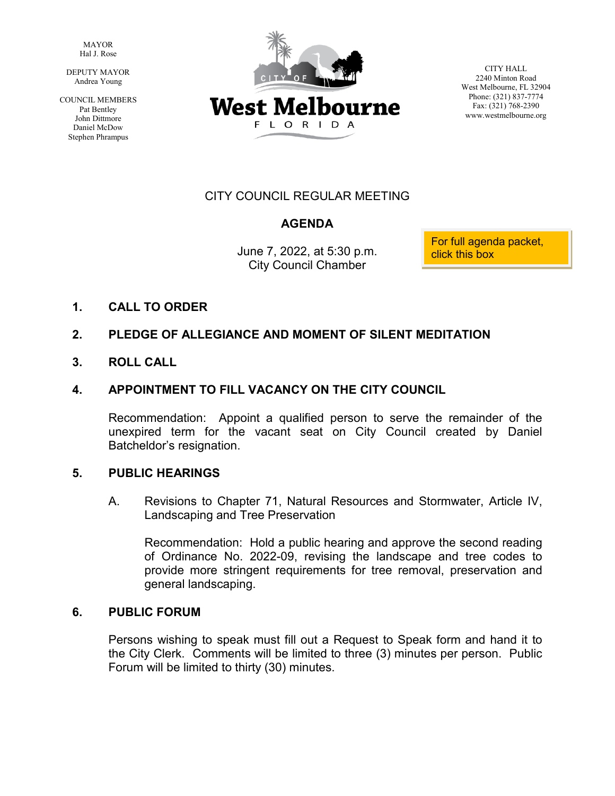MAYOR Hal J. Rose

 DEPUTY MAYOR Andrea Young

COUNCIL MEMBERS Pat Bentley John Dittmore Daniel McDow Stephen Phrampus



CITY HALL 2240 Minton Road West Melbourne, FL 32904 Phone: (321) 837-7774 Fax: (321) 768-2390 www.westmelbourne.org

# CITY COUNCIL REGULAR MEETING

# **AGENDA**

City Council Chamber

June 7, 2022, at 5:30 p.m. For full agenda packet,

**1. CALL TO ORDER**

#### **2. PLEDGE OF ALLEGIANCE AND MOMENT OF SILENT MEDITATION**

**3. ROLL CALL**

#### **4. APPOINTMENT TO FILL VACANCY ON THE CITY COUNCIL**

Recommendation: Appoint a qualified person to serve the remainder of the unexpired term for the vacant seat on City Council created by Daniel Batcheldor's resignation.

#### **5. PUBLIC HEARINGS**

A. Revisions to Chapter 71, Natural Resources and Stormwater, Article IV, Landscaping and Tree Preservation

Recommendation: Hold a public hearing and approve the second reading of Ordinance No. 2022-09, revising the landscape and tree codes to provide more stringent requirements for tree removal, preservation and general landscaping.

#### **6. PUBLIC FORUM**

Persons wishing to speak must fill out a Request to Speak form and hand it to the City Clerk. Comments will be limited to three (3) minutes per person. Public Forum will be limited to thirty (30) minutes.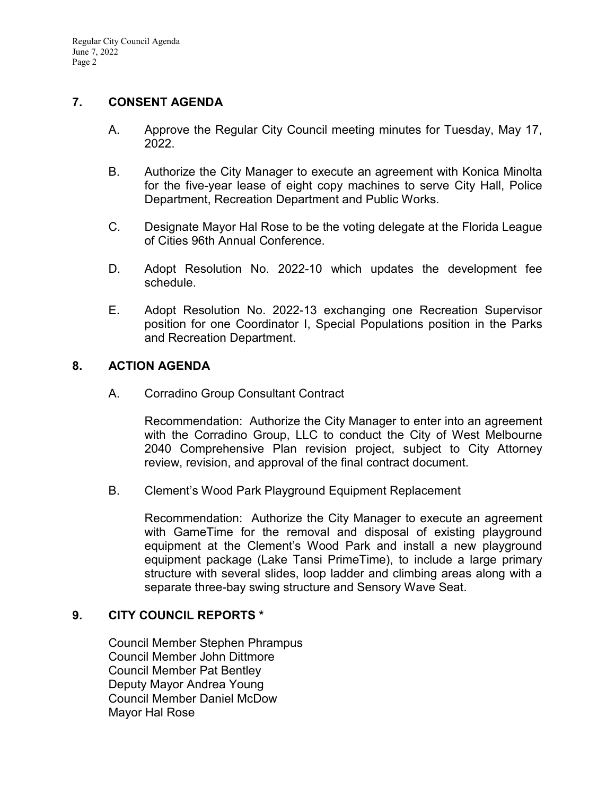### **7. CONSENT AGENDA**

- A. Approve the Regular City Council meeting minutes for Tuesday, May 17, 2022.
- B. Authorize the City Manager to execute an agreement with Konica Minolta for the five-year lease of eight copy machines to serve City Hall, Police Department, Recreation Department and Public Works.
- C. Designate Mayor Hal Rose to be the voting delegate at the Florida League of Cities 96th Annual Conference.
- D. Adopt Resolution No. 2022-10 which updates the development fee schedule.
- E. Adopt Resolution No. 2022-13 exchanging one Recreation Supervisor position for one Coordinator I, Special Populations position in the Parks and Recreation Department.

## **8. ACTION AGENDA**

A. Corradino Group Consultant Contract

Recommendation: Authorize the City Manager to enter into an agreement with the Corradino Group, LLC to conduct the City of West Melbourne 2040 Comprehensive Plan revision project, subject to City Attorney review, revision, and approval of the final contract document.

B. Clement's Wood Park Playground Equipment Replacement

Recommendation: Authorize the City Manager to execute an agreement with GameTime for the removal and disposal of existing playground equipment at the Clement's Wood Park and install a new playground equipment package (Lake Tansi PrimeTime), to include a large primary structure with several slides, loop ladder and climbing areas along with a separate three-bay swing structure and Sensory Wave Seat.

#### **9. CITY COUNCIL REPORTS \***

Council Member Stephen Phrampus Council Member John Dittmore Council Member Pat Bentley Deputy Mayor Andrea Young Council Member Daniel McDow Mayor Hal Rose